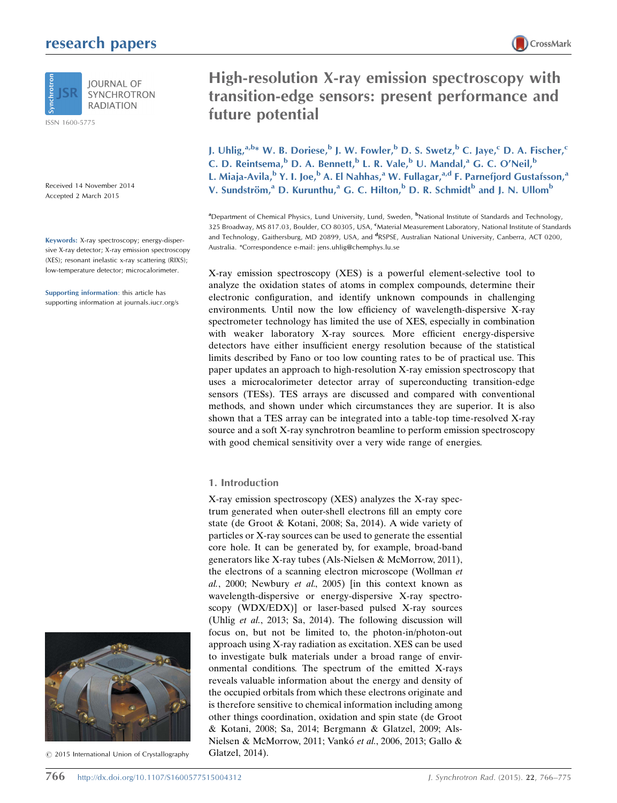# research papers



**IOURNAL OF SYNCHROTRON RADIATION** 

ISSN 1600-5775

Received 14 November 2014 Accepted 2 March 2015

Keywords: X-ray spectroscopy; energy-dispersive X-ray detector; X-ray emission spectroscopy (XES); resonant inelastic x-ray scattering (RIXS); low-temperature detector; microcalorimeter.

Supporting information: this article has supporting information at journals.iucr.org/s



 $\odot$  2015 International Union of Crystallography



# High-resolution X-ray emission spectroscopy with transition-edge sensors: present performance and future potential

J. Uhlig, $a,b*$  W. B. Doriese, $b$  J. W. Fowler, $b$  D. S. Swetz, $b$  C. Jaye, $c$  D. A. Fischer, $c$ C. D. Reintsema,<sup>b</sup> D. A. Bennett,<sup>b</sup> L. R. Vale,<sup>b</sup> U. Mandal,<sup>a</sup> G. C. O'Neil,<sup>b</sup> L. Miaja-Avila, $b$  Y. I. Joe, $b$  A. El Nahhas,<sup>a</sup> W. Fullagar, $a$ ,d F. Parnefjord Gustafsson,<sup>a</sup> V. Sundström,<sup>a</sup> D. Kurunthu,<sup>a</sup> G. C. Hilton,<sup>b</sup> D. R. Schmidt<sup>b</sup> and J. N. Ullom<sup>b</sup>

<sup>a</sup> Department of Chemical Physics, Lund University, Lund, Sweden, <sup>b</sup>National Institute of Standards and Technology, 325 Broadway, MS 817.03, Boulder, CO 80305, USA, <sup>c</sup>Material Measurement Laboratory, National Institute of Standards and Technology, Gaithersburg, MD 20899, USA, and <sup>d</sup>RSPSE, Australian National University, Canberra, ACT 0200, Australia. \*Correspondence e-mail: jens.uhlig@chemphys.lu.se

X-ray emission spectroscopy (XES) is a powerful element-selective tool to analyze the oxidation states of atoms in complex compounds, determine their electronic configuration, and identify unknown compounds in challenging environments. Until now the low efficiency of wavelength-dispersive X-ray spectrometer technology has limited the use of XES, especially in combination with weaker laboratory X-ray sources. More efficient energy-dispersive detectors have either insufficient energy resolution because of the statistical limits described by Fano or too low counting rates to be of practical use. This paper updates an approach to high-resolution X-ray emission spectroscopy that uses a microcalorimeter detector array of superconducting transition-edge sensors (TESs). TES arrays are discussed and compared with conventional methods, and shown under which circumstances they are superior. It is also shown that a TES array can be integrated into a table-top time-resolved X-ray source and a soft X-ray synchrotron beamline to perform emission spectroscopy with good chemical sensitivity over a very wide range of energies.

### 1. Introduction

X-ray emission spectroscopy (XES) analyzes the X-ray spectrum generated when outer-shell electrons fill an empty core state (de Groot & Kotani, 2008; Sa, 2014). A wide variety of particles or X-ray sources can be used to generate the essential core hole. It can be generated by, for example, broad-band generators like X-ray tubes (Als-Nielsen & McMorrow, 2011), the electrons of a scanning electron microscope (Wollman et al., 2000; Newbury et al., 2005) [in this context known as wavelength-dispersive or energy-dispersive X-ray spectroscopy (WDX/EDX)] or laser-based pulsed X-ray sources (Uhlig et al., 2013; Sa, 2014). The following discussion will focus on, but not be limited to, the photon-in/photon-out approach using X-ray radiation as excitation. XES can be used to investigate bulk materials under a broad range of environmental conditions. The spectrum of the emitted X-rays reveals valuable information about the energy and density of the occupied orbitals from which these electrons originate and is therefore sensitive to chemical information including among other things coordination, oxidation and spin state (de Groot & Kotani, 2008; Sa, 2014; Bergmann & Glatzel, 2009; Als-Nielsen & McMorrow, 2011; Vankó et al., 2006, 2013; Gallo & Glatzel, 2014).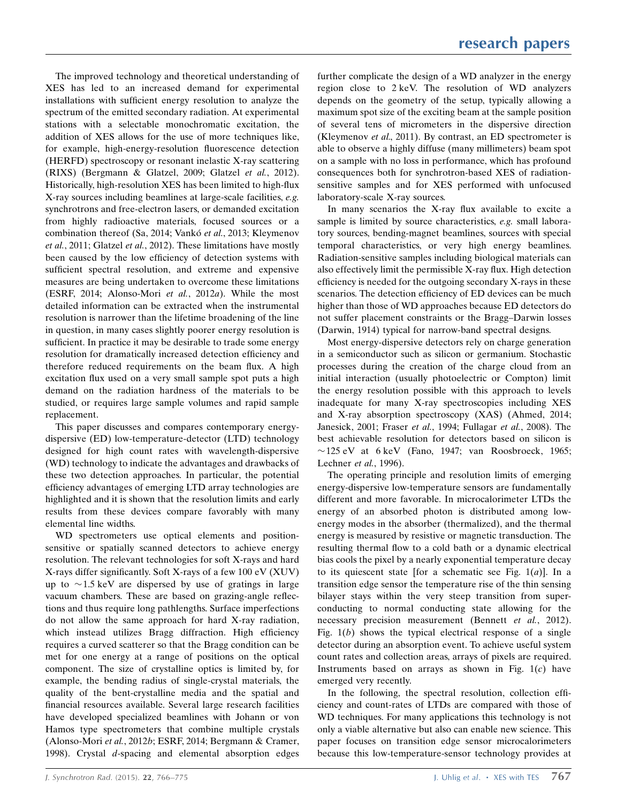The improved technology and theoretical understanding of XES has led to an increased demand for experimental installations with sufficient energy resolution to analyze the spectrum of the emitted secondary radiation. At experimental stations with a selectable monochromatic excitation, the addition of XES allows for the use of more techniques like, for example, high-energy-resolution fluorescence detection (HERFD) spectroscopy or resonant inelastic X-ray scattering (RIXS) (Bergmann & Glatzel, 2009; Glatzel et al., 2012). Historically, high-resolution XES has been limited to high-flux X-ray sources including beamlines at large-scale facilities, e.g. synchrotrons and free-electron lasers, or demanded excitation from highly radioactive materials, focused sources or a combination thereof (Sa, 2014; Vankó et al., 2013; Kleymenov et al., 2011; Glatzel et al., 2012). These limitations have mostly been caused by the low efficiency of detection systems with sufficient spectral resolution, and extreme and expensive measures are being undertaken to overcome these limitations (ESRF, 2014; Alonso-Mori et al., 2012a). While the most detailed information can be extracted when the instrumental resolution is narrower than the lifetime broadening of the line in question, in many cases slightly poorer energy resolution is sufficient. In practice it may be desirable to trade some energy resolution for dramatically increased detection efficiency and therefore reduced requirements on the beam flux. A high excitation flux used on a very small sample spot puts a high demand on the radiation hardness of the materials to be studied, or requires large sample volumes and rapid sample replacement.

This paper discusses and compares contemporary energydispersive (ED) low-temperature-detector (LTD) technology designed for high count rates with wavelength-dispersive (WD) technology to indicate the advantages and drawbacks of these two detection approaches. In particular, the potential efficiency advantages of emerging LTD array technologies are highlighted and it is shown that the resolution limits and early results from these devices compare favorably with many elemental line widths.

WD spectrometers use optical elements and positionsensitive or spatially scanned detectors to achieve energy resolution. The relevant technologies for soft X-rays and hard X-rays differ significantly. Soft X-rays of a few 100 eV (XUV) up to  $\sim$ 1.5 keV are dispersed by use of gratings in large vacuum chambers. These are based on grazing-angle reflections and thus require long pathlengths. Surface imperfections do not allow the same approach for hard X-ray radiation, which instead utilizes Bragg diffraction. High efficiency requires a curved scatterer so that the Bragg condition can be met for one energy at a range of positions on the optical component. The size of crystalline optics is limited by, for example, the bending radius of single-crystal materials, the quality of the bent-crystalline media and the spatial and financial resources available. Several large research facilities have developed specialized beamlines with Johann or von Hamos type spectrometers that combine multiple crystals (Alonso-Mori et al., 2012b; ESRF, 2014; Bergmann & Cramer, 1998). Crystal d-spacing and elemental absorption edges further complicate the design of a WD analyzer in the energy region close to 2 keV. The resolution of WD analyzers depends on the geometry of the setup, typically allowing a maximum spot size of the exciting beam at the sample position of several tens of micrometers in the dispersive direction (Kleymenov et al., 2011). By contrast, an ED spectrometer is able to observe a highly diffuse (many millimeters) beam spot on a sample with no loss in performance, which has profound consequences both for synchrotron-based XES of radiationsensitive samples and for XES performed with unfocused laboratory-scale X-ray sources.

In many scenarios the X-ray flux available to excite a sample is limited by source characteristics, e.g. small laboratory sources, bending-magnet beamlines, sources with special temporal characteristics, or very high energy beamlines. Radiation-sensitive samples including biological materials can also effectively limit the permissible X-ray flux. High detection efficiency is needed for the outgoing secondary X-rays in these scenarios. The detection efficiency of ED devices can be much higher than those of WD approaches because ED detectors do not suffer placement constraints or the Bragg–Darwin losses (Darwin, 1914) typical for narrow-band spectral designs.

Most energy-dispersive detectors rely on charge generation in a semiconductor such as silicon or germanium. Stochastic processes during the creation of the charge cloud from an initial interaction (usually photoelectric or Compton) limit the energy resolution possible with this approach to levels inadequate for many X-ray spectroscopies including XES and X-ray absorption spectroscopy (XAS) (Ahmed, 2014; Janesick, 2001; Fraser et al., 1994; Fullagar et al., 2008). The best achievable resolution for detectors based on silicon is  $\sim$ 125 eV at 6 keV (Fano, 1947; van Roosbroeck, 1965; Lechner et al., 1996).

The operating principle and resolution limits of emerging energy-dispersive low-temperature sensors are fundamentally different and more favorable. In microcalorimeter LTDs the energy of an absorbed photon is distributed among lowenergy modes in the absorber (thermalized), and the thermal energy is measured by resistive or magnetic transduction. The resulting thermal flow to a cold bath or a dynamic electrical bias cools the pixel by a nearly exponential temperature decay to its quiescent state [for a schematic see Fig.  $1(a)$ ]. In a transition edge sensor the temperature rise of the thin sensing bilayer stays within the very steep transition from superconducting to normal conducting state allowing for the necessary precision measurement (Bennett et al., 2012). Fig.  $1(b)$  shows the typical electrical response of a single detector during an absorption event. To achieve useful system count rates and collection areas, arrays of pixels are required. Instruments based on arrays as shown in Fig.  $1(c)$  have emerged very recently.

In the following, the spectral resolution, collection efficiency and count-rates of LTDs are compared with those of WD techniques. For many applications this technology is not only a viable alternative but also can enable new science. This paper focuses on transition edge sensor microcalorimeters because this low-temperature-sensor technology provides at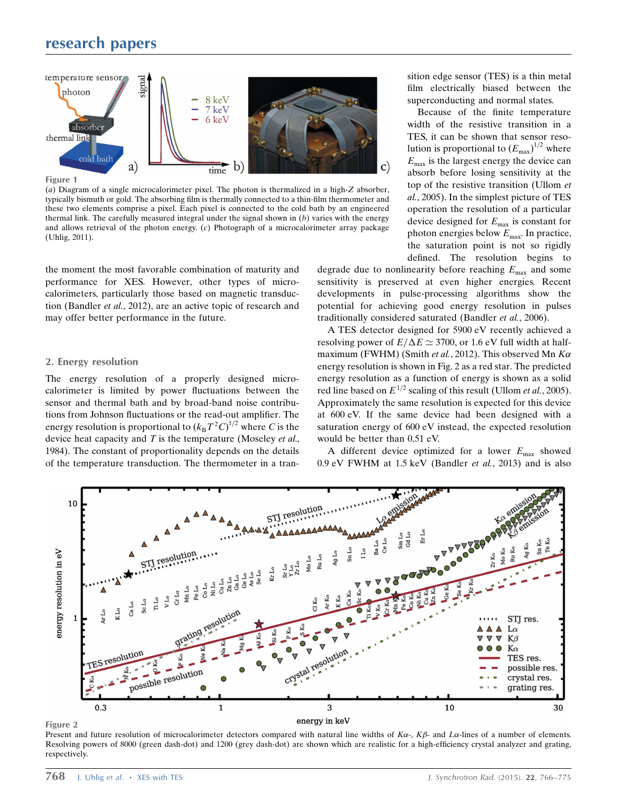# research papers



Figure 1

(a) Diagram of a single microcalorimeter pixel. The photon is thermalized in a high-Z absorber, typically bismuth or gold. The absorbing film is thermally connected to a thin-film thermometer and these two elements comprise a pixel. Each pixel is connected to the cold bath by an engineered thermal link. The carefully measured integral under the signal shown in  $(b)$  varies with the energy and allows retrieval of the photon energy.  $(c)$  Photograph of a microcalorimeter array package (Uhlig, 2011).

the moment the most favorable combination of maturity and performance for XES. However, other types of microcalorimeters, particularly those based on magnetic transduction (Bandler et al., 2012), are an active topic of research and may offer better performance in the future.

#### 2. Energy resolution

The energy resolution of a properly designed microcalorimeter is limited by power fluctuations between the sensor and thermal bath and by broad-band noise contributions from Johnson fluctuations or the read-out amplifier. The energy resolution is proportional to  $(k_{\rm B}T^2C)^{1/2}$  where C is the device heat capacity and  $T$  is the temperature (Moseley *et al.*, 1984). The constant of proportionality depends on the details of the temperature transduction. The thermometer in a transition edge sensor (TES) is a thin metal film electrically biased between the superconducting and normal states.

Because of the finite temperature width of the resistive transition in a TES, it can be shown that sensor resolution is proportional to  $(E_{\text{max}})^{1/2}$  where  $E_{\text{max}}$  is the largest energy the device can absorb before losing sensitivity at the top of the resistive transition (Ullom et al., 2005). In the simplest picture of TES operation the resolution of a particular device designed for  $E_{\text{max}}$  is constant for photon energies below  $E_{\text{max}}$ . In practice, the saturation point is not so rigidly defined. The resolution begins to

degrade due to nonlinearity before reaching  $E_{\text{max}}$  and some sensitivity is preserved at even higher energies. Recent developments in pulse-processing algorithms show the potential for achieving good energy resolution in pulses traditionally considered saturated (Bandler et al., 2006).

A TES detector designed for 5900 eV recently achieved a resolving power of  $E/\Delta E \simeq 3700$ , or 1.6 eV full width at halfmaximum (FWHM) (Smith et al., 2012). This observed Mn Ka energy resolution is shown in Fig. 2 as a red star. The predicted energy resolution as a function of energy is shown as a solid red line based on  $E^{1/2}$  scaling of this result (Ullom *et al.*, 2005). Approximately the same resolution is expected for this device at 600 eV. If the same device had been designed with a saturation energy of 600 eV instead, the expected resolution would be better than 0.51 eV.

A different device optimized for a lower  $E_{\text{max}}$  showed 0.9 eV FWHM at  $1.5 \text{ keV}$  (Bandler *et al.*, 2013) and is also



Figure 2

Present and future resolution of microcalorimeter detectors compared with natural line widths of  $K\alpha$ -,  $K\beta$ - and  $L\alpha$ -lines of a number of elements. Resolving powers of 8000 (green dash-dot) and 1200 (grey dash-dot) are shown which are realistic for a high-efficiency crystal analyzer and grating, respectively.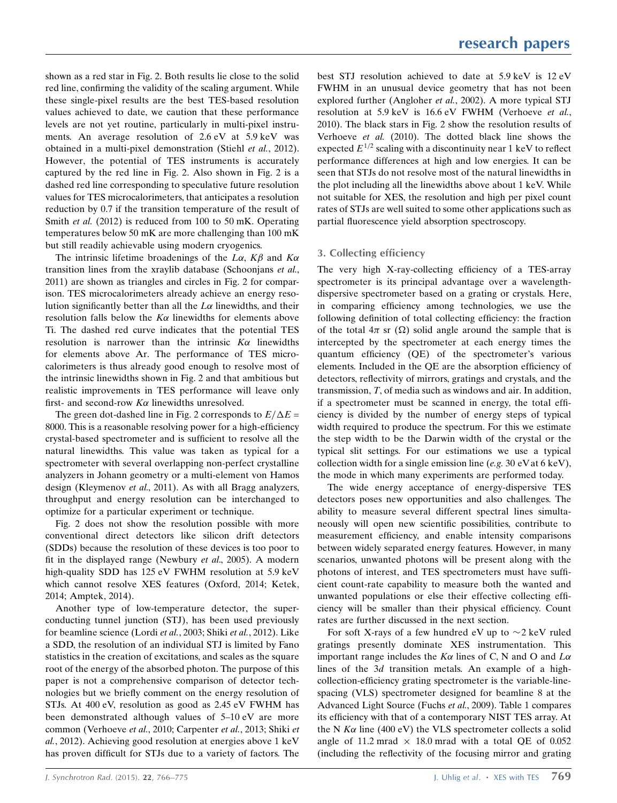shown as a red star in Fig. 2. Both results lie close to the solid red line, confirming the validity of the scaling argument. While these single-pixel results are the best TES-based resolution values achieved to date, we caution that these performance levels are not yet routine, particularly in multi-pixel instruments. An average resolution of 2.6 eV at 5.9 keV was obtained in a multi-pixel demonstration (Stiehl et al., 2012). However, the potential of TES instruments is accurately captured by the red line in Fig. 2. Also shown in Fig. 2 is a dashed red line corresponding to speculative future resolution values for TES microcalorimeters, that anticipates a resolution reduction by 0.7 if the transition temperature of the result of Smith *et al.* (2012) is reduced from 100 to 50 mK. Operating temperatures below 50 mK are more challenging than 100 mK but still readily achievable using modern cryogenics.

The intrinsic lifetime broadenings of the  $L\alpha$ ,  $K\beta$  and  $K\alpha$ transition lines from the xraylib database (Schoonjans et al., 2011) are shown as triangles and circles in Fig. 2 for comparison. TES microcalorimeters already achieve an energy resolution significantly better than all the  $L\alpha$  linewidths, and their resolution falls below the  $K\alpha$  linewidths for elements above Ti. The dashed red curve indicates that the potential TES resolution is narrower than the intrinsic  $K\alpha$  linewidths for elements above Ar. The performance of TES microcalorimeters is thus already good enough to resolve most of the intrinsic linewidths shown in Fig. 2 and that ambitious but realistic improvements in TES performance will leave only first- and second-row  $K\alpha$  linewidths unresolved.

The green dot-dashed line in Fig. 2 corresponds to  $E/\Delta E=$ 8000. This is a reasonable resolving power for a high-efficiency crystal-based spectrometer and is sufficient to resolve all the natural linewidths. This value was taken as typical for a spectrometer with several overlapping non-perfect crystalline analyzers in Johann geometry or a multi-element von Hamos design (Kleymenov et al., 2011). As with all Bragg analyzers, throughput and energy resolution can be interchanged to optimize for a particular experiment or technique.

Fig. 2 does not show the resolution possible with more conventional direct detectors like silicon drift detectors (SDDs) because the resolution of these devices is too poor to fit in the displayed range (Newbury et al., 2005). A modern high-quality SDD has 125 eV FWHM resolution at 5.9 keV which cannot resolve XES features (Oxford, 2014; Ketek, 2014; Amptek, 2014).

Another type of low-temperature detector, the superconducting tunnel junction (STJ), has been used previously for beamline science (Lordi et al., 2003; Shiki et al., 2012). Like a SDD, the resolution of an individual STJ is limited by Fano statistics in the creation of excitations, and scales as the square root of the energy of the absorbed photon. The purpose of this paper is not a comprehensive comparison of detector technologies but we briefly comment on the energy resolution of STJs. At 400 eV, resolution as good as 2.45 eV FWHM has been demonstrated although values of 5–10 eV are more common (Verhoeve et al., 2010; Carpenter et al., 2013; Shiki et al., 2012). Achieving good resolution at energies above 1 keV has proven difficult for STJs due to a variety of factors. The best STJ resolution achieved to date at 5.9 keV is 12 eV FWHM in an unusual device geometry that has not been explored further (Angloher et al., 2002). A more typical STJ resolution at 5.9 keV is 16.6 eV FWHM (Verhoeve et al., 2010). The black stars in Fig. 2 show the resolution results of Verhoeve et al. (2010). The dotted black line shows the expected  $E^{1/2}$  scaling with a discontinuity near 1 keV to reflect performance differences at high and low energies. It can be seen that STJs do not resolve most of the natural linewidths in the plot including all the linewidths above about 1 keV. While not suitable for XES, the resolution and high per pixel count rates of STJs are well suited to some other applications such as partial fluorescence yield absorption spectroscopy.

## 3. Collecting efficiency

The very high X-ray-collecting efficiency of a TES-array spectrometer is its principal advantage over a wavelengthdispersive spectrometer based on a grating or crystals. Here, in comparing efficiency among technologies, we use the following definition of total collecting efficiency: the fraction of the total  $4\pi$  sr ( $\Omega$ ) solid angle around the sample that is intercepted by the spectrometer at each energy times the quantum efficiency (QE) of the spectrometer's various elements. Included in the QE are the absorption efficiency of detectors, reflectivity of mirrors, gratings and crystals, and the transmission, T, of media such as windows and air. In addition, if a spectrometer must be scanned in energy, the total efficiency is divided by the number of energy steps of typical width required to produce the spectrum. For this we estimate the step width to be the Darwin width of the crystal or the typical slit settings. For our estimations we use a typical collection width for a single emission line (e.g. 30 eV at 6 keV), the mode in which many experiments are performed today.

The wide energy acceptance of energy-dispersive TES detectors poses new opportunities and also challenges. The ability to measure several different spectral lines simultaneously will open new scientific possibilities, contribute to measurement efficiency, and enable intensity comparisons between widely separated energy features. However, in many scenarios, unwanted photons will be present along with the photons of interest, and TES spectrometers must have sufficient count-rate capability to measure both the wanted and unwanted populations or else their effective collecting efficiency will be smaller than their physical efficiency. Count rates are further discussed in the next section.

For soft X-rays of a few hundred eV up to  $\sim$ 2 keV ruled gratings presently dominate XES instrumentation. This important range includes the  $K\alpha$  lines of C, N and O and  $L\alpha$ lines of the 3d transition metals. An example of a highcollection-efficiency grating spectrometer is the variable-linespacing (VLS) spectrometer designed for beamline 8 at the Advanced Light Source (Fuchs et al., 2009). Table 1 compares its efficiency with that of a contemporary NIST TES array. At the N  $K\alpha$  line (400 eV) the VLS spectrometer collects a solid angle of 11.2 mrad  $\times$  18.0 mrad with a total QE of 0.052 (including the reflectivity of the focusing mirror and grating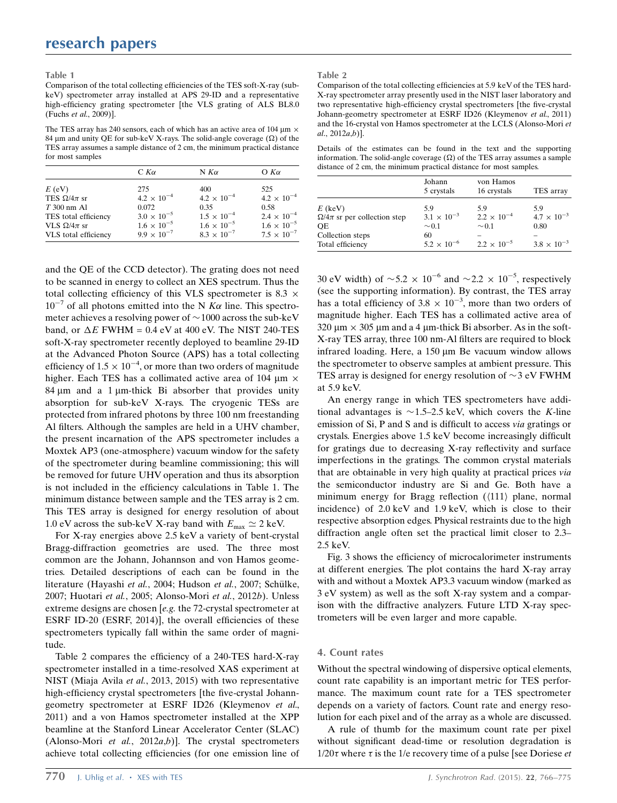#### Table 1

Comparison of the total collecting efficiencies of the TES soft-X-ray (subkeV) spectrometer array installed at APS 29-ID and a representative high-efficiency grating spectrometer [the VLS grating of ALS BL8.0 (Fuchs et al., 2009)].

The TES array has 240 sensors, each of which has an active area of 104  $\mu$ m  $\times$ 84 µm and unity QE for sub-keV X-rays. The solid-angle coverage  $(\Omega)$  of the TES array assumes a sample distance of 2 cm, the minimum practical distance for most samples

|                                                                                                                                  | $C$ K $\alpha$                                                                                               | N $K\alpha$                                                                                                 | $O$ K $\alpha$                                                                                              |
|----------------------------------------------------------------------------------------------------------------------------------|--------------------------------------------------------------------------------------------------------------|-------------------------------------------------------------------------------------------------------------|-------------------------------------------------------------------------------------------------------------|
| $E$ (eV)<br>TES $\Omega/4\pi$ sr<br>$T300 \text{ nm}$ Al<br>TES total efficiency<br>VLS $\Omega/4\pi$ sr<br>VLS total efficiency | 275<br>$4.2 \times 10^{-4}$<br>0.072<br>$3.0 \times 10^{-5}$<br>$1.6 \times 10^{-5}$<br>$9.9 \times 10^{-7}$ | 400<br>$4.2 \times 10^{-4}$<br>0.35<br>$1.5 \times 10^{-4}$<br>$1.6 \times 10^{-5}$<br>$8.3 \times 10^{-7}$ | 525<br>$4.2 \times 10^{-4}$<br>0.58<br>$2.4 \times 10^{-4}$<br>$1.6 \times 10^{-5}$<br>$7.5 \times 10^{-7}$ |
|                                                                                                                                  |                                                                                                              |                                                                                                             |                                                                                                             |

and the QE of the CCD detector). The grating does not need to be scanned in energy to collect an XES spectrum. Thus the total collecting efficiency of this VLS spectrometer is 8.3  $\times$  $10^{-7}$  of all photons emitted into the N  $K\alpha$  line. This spectrometer achieves a resolving power of  $\sim$  1000 across the sub-keV band, or  $\Delta E$  FWHM = 0.4 eV at 400 eV. The NIST 240-TES soft-X-ray spectrometer recently deployed to beamline 29-ID at the Advanced Photon Source (APS) has a total collecting efficiency of  $1.5 \times 10^{-4}$ , or more than two orders of magnitude higher. Each TES has a collimated active area of 104  $\mu$ m  $\times$ 84  $\mu$ m and a 1  $\mu$ m-thick Bi absorber that provides unity absorption for sub-keV X-rays. The cryogenic TESs are protected from infrared photons by three 100 nm freestanding Al filters. Although the samples are held in a UHV chamber, the present incarnation of the APS spectrometer includes a Moxtek AP3 (one-atmosphere) vacuum window for the safety of the spectrometer during beamline commissioning; this will be removed for future UHV operation and thus its absorption is not included in the efficiency calculations in Table 1. The minimum distance between sample and the TES array is 2 cm. This TES array is designed for energy resolution of about 1.0 eV across the sub-keV X-ray band with  $E_{\text{max}} \simeq 2 \text{ keV}$ .

For X-ray energies above 2.5 keV a variety of bent-crystal Bragg-diffraction geometries are used. The three most common are the Johann, Johannson and von Hamos geometries. Detailed descriptions of each can be found in the literature (Hayashi et al., 2004; Hudson et al., 2007; Schülke, 2007; Huotari et al., 2005; Alonso-Mori et al., 2012b). Unless extreme designs are chosen [e.g. the 72-crystal spectrometer at ESRF ID-20 (ESRF, 2014)], the overall efficiencies of these spectrometers typically fall within the same order of magnitude.

Table 2 compares the efficiency of a 240-TES hard-X-ray spectrometer installed in a time-resolved XAS experiment at NIST (Miaja Avila et al., 2013, 2015) with two representative high-efficiency crystal spectrometers [the five-crystal Johanngeometry spectrometer at ESRF ID26 (Kleymenov et al., 2011) and a von Hamos spectrometer installed at the XPP beamline at the Stanford Linear Accelerator Center (SLAC) (Alonso-Mori et al.,  $2012a,b$ ). The crystal spectrometers achieve total collecting efficiencies (for one emission line of Comparison of the total collecting efficiencies at 5.9 keV of the TES hard-X-ray spectrometer array presently used in the NIST laser laboratory and two representative high-efficiency crystal spectrometers [the five-crystal Johann-geometry spectrometer at ESRF ID26 (Kleymenov et al., 2011) and the 16-crystal von Hamos spectrometer at the LCLS (Alonso-Mori et al., 2012a,b)].

Details of the estimates can be found in the text and the supporting information. The solid-angle coverage  $(\Omega)$  of the TES array assumes a sample distance of 2 cm, the minimum practical distance for most samples.

|                                                   | Johann<br>5 crystals        | von Hamos<br>16 crystals    | TES array                   |
|---------------------------------------------------|-----------------------------|-----------------------------|-----------------------------|
| $E$ (keV)<br>$\Omega/4\pi$ sr per collection step | 5.9<br>$3.1 \times 10^{-3}$ | 5.9<br>$2.2 \times 10^{-4}$ | 5.9<br>$4.7 \times 10^{-3}$ |
| ОE                                                | $\sim 0.1$                  | $\sim 0.1$                  | 0.80                        |
| Collection steps                                  | 60                          |                             |                             |
| Total efficiency                                  | $5.2 \times 10^{-6}$        | $2.2 \times 10^{-5}$        | $3.8 \times 10^{-3}$        |

30 eV width) of  $\sim 5.2 \times 10^{-6}$  and  $\sim 2.2 \times 10^{-5}$ , respectively (see the supporting information). By contrast, the TES array has a total efficiency of  $3.8 \times 10^{-3}$ , more than two orders of magnitude higher. Each TES has a collimated active area of 320  $\mu$ m  $\times$  305  $\mu$ m and a 4  $\mu$ m-thick Bi absorber. As in the soft-X-ray TES array, three 100 nm-Al filters are required to block infrared loading. Here, a 150 µm Be vacuum window allows the spectrometer to observe samples at ambient pressure. This TES array is designed for energy resolution of  $\sim$  3 eV FWHM at 5.9 keV.

An energy range in which TES spectrometers have additional advantages is  $\sim$ 1.5–2.5 keV, which covers the K-line emission of Si, P and S and is difficult to access via gratings or crystals. Energies above 1.5 keV become increasingly difficult for gratings due to decreasing X-ray reflectivity and surface imperfections in the gratings. The common crystal materials that are obtainable in very high quality at practical prices via the semiconductor industry are Si and Ge. Both have a minimum energy for Bragg reflection  $(\langle 111 \rangle)$  plane, normal incidence) of 2.0 keV and 1.9 keV, which is close to their respective absorption edges. Physical restraints due to the high diffraction angle often set the practical limit closer to 2.3– 2.5 keV.

Fig. 3 shows the efficiency of microcalorimeter instruments at different energies. The plot contains the hard X-ray array with and without a Moxtek AP3.3 vacuum window (marked as 3 eV system) as well as the soft X-ray system and a comparison with the diffractive analyzers. Future LTD X-ray spectrometers will be even larger and more capable.

#### 4. Count rates

Without the spectral windowing of dispersive optical elements, count rate capability is an important metric for TES performance. The maximum count rate for a TES spectrometer depends on a variety of factors. Count rate and energy resolution for each pixel and of the array as a whole are discussed.

A rule of thumb for the maximum count rate per pixel without significant dead-time or resolution degradation is  $1/20\tau$  where  $\tau$  is the 1/e recovery time of a pulse [see Doriese *et*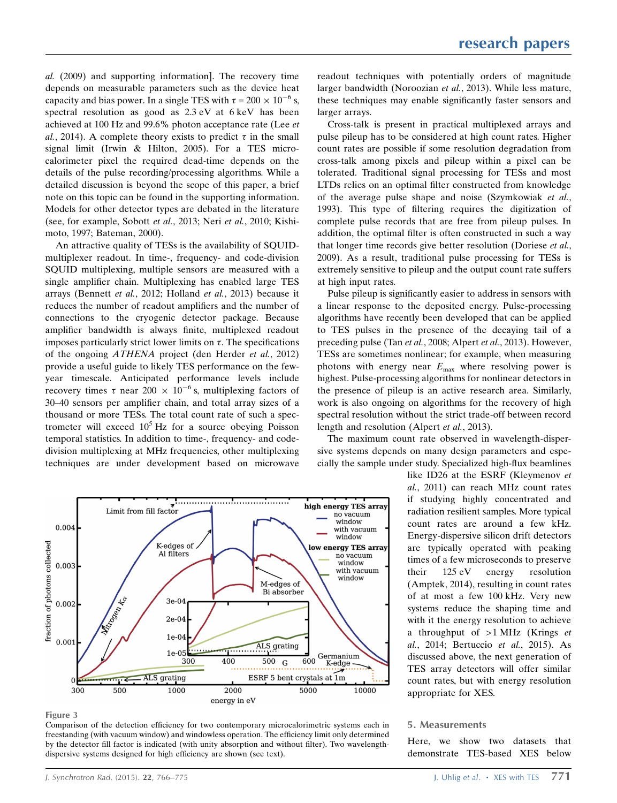al. (2009) and supporting information]. The recovery time depends on measurable parameters such as the device heat capacity and bias power. In a single TES with  $\tau = 200 \times 10^{-6}$  s, spectral resolution as good as 2.3 eV at 6 keV has been achieved at 100 Hz and 99.6% photon acceptance rate (Lee et al., 2014). A complete theory exists to predict  $\tau$  in the small signal limit (Irwin & Hilton, 2005). For a TES microcalorimeter pixel the required dead-time depends on the details of the pulse recording/processing algorithms. While a detailed discussion is beyond the scope of this paper, a brief note on this topic can be found in the supporting information. Models for other detector types are debated in the literature (see, for example, Sobott et al., 2013; Neri et al., 2010; Kishimoto, 1997; Bateman, 2000).

An attractive quality of TESs is the availability of SQUIDmultiplexer readout. In time-, frequency- and code-division SQUID multiplexing, multiple sensors are measured with a single amplifier chain. Multiplexing has enabled large TES arrays (Bennett et al., 2012; Holland et al., 2013) because it reduces the number of readout amplifiers and the number of connections to the cryogenic detector package. Because amplifier bandwidth is always finite, multiplexed readout imposes particularly strict lower limits on  $\tau$ . The specifications of the ongoing ATHENA project (den Herder et al., 2012) provide a useful guide to likely TES performance on the fewyear timescale. Anticipated performance levels include recovery times  $\tau$  near 200  $\times$  10<sup>-6</sup> s, multiplexing factors of 30–40 sensors per amplifier chain, and total array sizes of a thousand or more TESs. The total count rate of such a spectrometer will exceed  $10^5$  Hz for a source obeying Poisson temporal statistics. In addition to time-, frequency- and codedivision multiplexing at MHz frequencies, other multiplexing techniques are under development based on microwave

readout techniques with potentially orders of magnitude larger bandwidth (Noroozian et al., 2013). While less mature, these techniques may enable significantly faster sensors and larger arrays.

Cross-talk is present in practical multiplexed arrays and pulse pileup has to be considered at high count rates. Higher count rates are possible if some resolution degradation from cross-talk among pixels and pileup within a pixel can be tolerated. Traditional signal processing for TESs and most LTDs relies on an optimal filter constructed from knowledge of the average pulse shape and noise (Szymkowiak et al., 1993). This type of filtering requires the digitization of complete pulse records that are free from pileup pulses. In addition, the optimal filter is often constructed in such a way that longer time records give better resolution (Doriese et al., 2009). As a result, traditional pulse processing for TESs is extremely sensitive to pileup and the output count rate suffers at high input rates.

Pulse pileup is significantly easier to address in sensors with a linear response to the deposited energy. Pulse-processing algorithms have recently been developed that can be applied to TES pulses in the presence of the decaying tail of a preceding pulse (Tan et al., 2008; Alpert et al., 2013). However, TESs are sometimes nonlinear; for example, when measuring photons with energy near  $E_{\text{max}}$  where resolving power is highest. Pulse-processing algorithms for nonlinear detectors in the presence of pileup is an active research area. Similarly, work is also ongoing on algorithms for the recovery of high spectral resolution without the strict trade-off between record length and resolution (Alpert et al., 2013).

The maximum count rate observed in wavelength-dispersive systems depends on many design parameters and especially the sample under study. Specialized high-flux beamlines



#### Figure 3

Comparison of the detection efficiency for two contemporary microcalorimetric systems each in freestanding (with vacuum window) and windowless operation. The efficiency limit only determined by the detector fill factor is indicated (with unity absorption and without filter). Two wavelengthdispersive systems designed for high efficiency are shown (see text).

like ID26 at the ESRF (Kleymenov et al., 2011) can reach MHz count rates if studying highly concentrated and radiation resilient samples. More typical count rates are around a few kHz. Energy-dispersive silicon drift detectors are typically operated with peaking times of a few microseconds to preserve their 125 eV energy resolution (Amptek, 2014), resulting in count rates of at most a few 100 kHz. Very new systems reduce the shaping time and with it the energy resolution to achieve a throughput of >1 MHz (Krings et al., 2014; Bertuccio et al., 2015). As discussed above, the next generation of TES array detectors will offer similar count rates, but with energy resolution appropriate for XES.

#### 5. Measurements

Here, we show two datasets that demonstrate TES-based XES below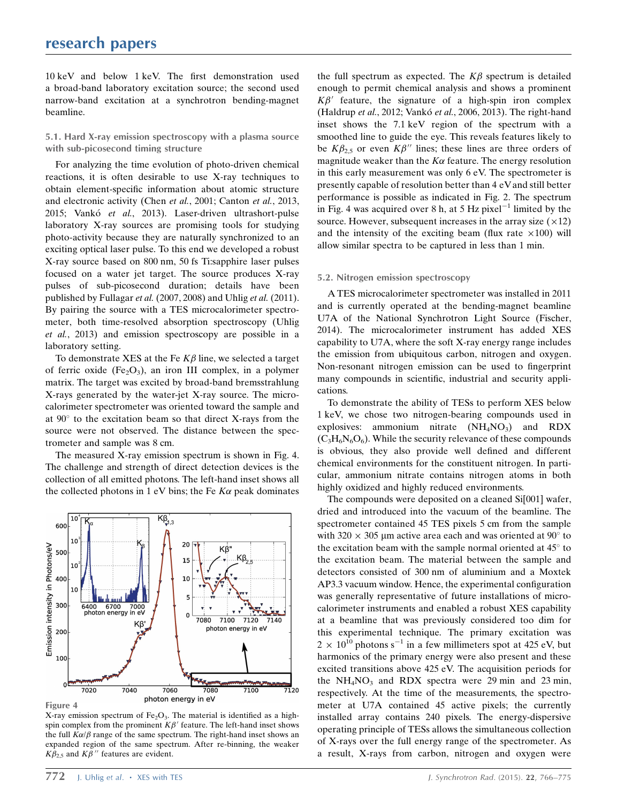10 keV and below 1 keV. The first demonstration used a broad-band laboratory excitation source; the second used narrow-band excitation at a synchrotron bending-magnet beamline.

5.1. Hard X-ray emission spectroscopy with a plasma source with sub-picosecond timing structure

For analyzing the time evolution of photo-driven chemical reactions, it is often desirable to use X-ray techniques to obtain element-specific information about atomic structure and electronic activity (Chen et al., 2001; Canton et al., 2013, 2015; Vankó et al., 2013). Laser-driven ultrashort-pulse laboratory X-ray sources are promising tools for studying photo-activity because they are naturally synchronized to an exciting optical laser pulse. To this end we developed a robust X-ray source based on 800 nm, 50 fs Ti:sapphire laser pulses focused on a water jet target. The source produces X-ray pulses of sub-picosecond duration; details have been published by Fullagar et al. (2007, 2008) and Uhlig et al. (2011). By pairing the source with a TES microcalorimeter spectrometer, both time-resolved absorption spectroscopy (Uhlig et al., 2013) and emission spectroscopy are possible in a laboratory setting.

To demonstrate XES at the Fe  $K\beta$  line, we selected a target of ferric oxide  $(Fe<sub>2</sub>O<sub>3</sub>)$ , an iron III complex, in a polymer matrix. The target was excited by broad-band bremsstrahlung X-rays generated by the water-jet X-ray source. The microcalorimeter spectrometer was oriented toward the sample and at  $90^{\circ}$  to the excitation beam so that direct X-rays from the source were not observed. The distance between the spectrometer and sample was 8 cm.

The measured X-ray emission spectrum is shown in Fig. 4. The challenge and strength of direct detection devices is the collection of all emitted photons. The left-hand inset shows all the collected photons in 1 eV bins; the Fe  $K\alpha$  peak dominates



Figure 4

X-ray emission spectrum of  $Fe<sub>2</sub>O<sub>3</sub>$ . The material is identified as a highspin complex from the prominent  $K\beta'$  feature. The left-hand inset shows the full  $K\alpha/\beta$  range of the same spectrum. The right-hand inset shows an expanded region of the same spectrum. After re-binning, the weaker  $K\beta_{2,5}$  and  $K\beta''$  features are evident.

the full spectrum as expected. The  $K\beta$  spectrum is detailed enough to permit chemical analysis and shows a prominent  $K\beta'$  feature, the signature of a high-spin iron complex (Haldrup et al., 2012; Vankó et al., 2006, 2013). The right-hand inset shows the 7.1 keV region of the spectrum with a smoothed line to guide the eye. This reveals features likely to be  $K\beta_{25}$  or even  $K\beta''$  lines; these lines are three orders of magnitude weaker than the  $K\alpha$  feature. The energy resolution in this early measurement was only 6 eV. The spectrometer is presently capable of resolution better than 4 eVand still better performance is possible as indicated in Fig. 2. The spectrum in Fig. 4 was acquired over 8 h, at 5 Hz pixel<sup>-1</sup> limited by the source. However, subsequent increases in the array size  $(\times 12)$ and the intensity of the exciting beam (flux rate  $\times 100$ ) will allow similar spectra to be captured in less than 1 min.

#### 5.2. Nitrogen emission spectroscopy

A TES microcalorimeter spectrometer was installed in 2011 and is currently operated at the bending-magnet beamline U7A of the National Synchrotron Light Source (Fischer, 2014). The microcalorimeter instrument has added XES capability to U7A, where the soft X-ray energy range includes the emission from ubiquitous carbon, nitrogen and oxygen. Non-resonant nitrogen emission can be used to fingerprint many compounds in scientific, industrial and security applications.

To demonstrate the ability of TESs to perform XES below 1 keV, we chose two nitrogen-bearing compounds used in explosives: ammonium nitrate  $(NH_4NO_3)$  and RDX  $(C_3H_6N_6O_6)$ . While the security relevance of these compounds is obvious, they also provide well defined and different chemical environments for the constituent nitrogen. In particular, ammonium nitrate contains nitrogen atoms in both highly oxidized and highly reduced environments.

The compounds were deposited on a cleaned Si[001] wafer, dried and introduced into the vacuum of the beamline. The spectrometer contained 45 TES pixels 5 cm from the sample with 320  $\times$  305 µm active area each and was oriented at 90 $^{\circ}$  to the excitation beam with the sample normal oriented at  $45^{\circ}$  to the excitation beam. The material between the sample and detectors consisted of 300 nm of aluminium and a Moxtek AP3.3 vacuum window. Hence, the experimental configuration was generally representative of future installations of microcalorimeter instruments and enabled a robust XES capability at a beamline that was previously considered too dim for this experimental technique. The primary excitation was  $2 \times 10^{10}$  photons s<sup>-1</sup> in a few millimeters spot at 425 eV, but harmonics of the primary energy were also present and these excited transitions above 425 eV. The acquisition periods for the  $NH<sub>4</sub>NO<sub>3</sub>$  and RDX spectra were 29 min and 23 min, respectively. At the time of the measurements, the spectrometer at U7A contained 45 active pixels; the currently installed array contains 240 pixels. The energy-dispersive operating principle of TESs allows the simultaneous collection of X-rays over the full energy range of the spectrometer. As a result, X-rays from carbon, nitrogen and oxygen were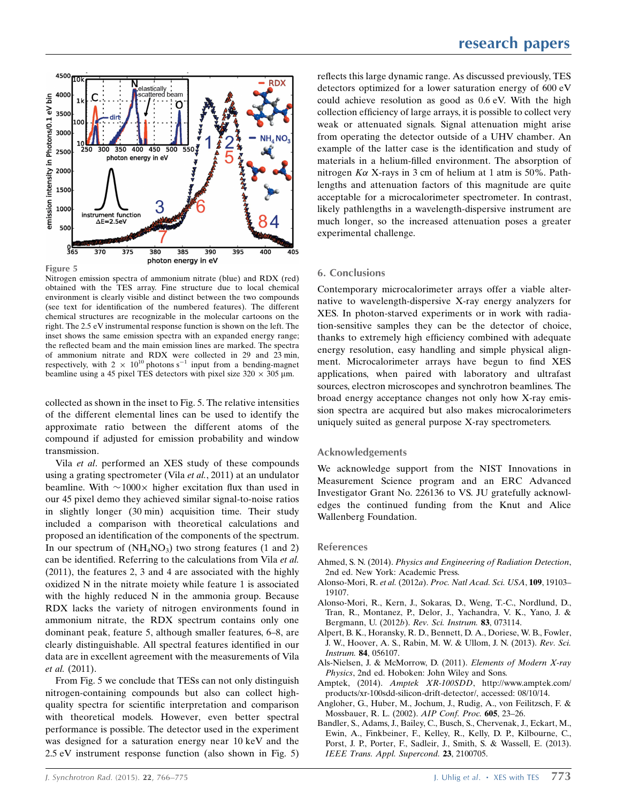

Figure 5

Nitrogen emission spectra of ammonium nitrate (blue) and RDX (red) obtained with the TES array. Fine structure due to local chemical environment is clearly visible and distinct between the two compounds (see text for identification of the numbered features). The different chemical structures are recognizable in the molecular cartoons on the right. The 2.5 eV instrumental response function is shown on the left. The inset shows the same emission spectra with an expanded energy range; the reflected beam and the main emission lines are marked. The spectra of ammonium nitrate and RDX were collected in 29 and 23 min, respectively, with  $2 \times 10^{10}$  photons s<sup>-1</sup> input from a bending-magnet beamline using a 45 pixel TES detectors with pixel size  $320 \times 305$  µm.

collected as shown in the inset to Fig. 5. The relative intensities of the different elemental lines can be used to identify the approximate ratio between the different atoms of the compound if adjusted for emission probability and window transmission.

Vila et al. performed an XES study of these compounds using a grating spectrometer (Vila et al., 2011) at an undulator beamline. With  $\sim$ 1000 $\times$  higher excitation flux than used in our 45 pixel demo they achieved similar signal-to-noise ratios in slightly longer (30 min) acquisition time. Their study included a comparison with theoretical calculations and proposed an identification of the components of the spectrum. In our spectrum of  $(NH_4NO_3)$  two strong features (1 and 2) can be identified. Referring to the calculations from Vila et al. (2011), the features 2, 3 and 4 are associated with the highly oxidized N in the nitrate moiety while feature 1 is associated with the highly reduced N in the ammonia group. Because RDX lacks the variety of nitrogen environments found in ammonium nitrate, the RDX spectrum contains only one dominant peak, feature 5, although smaller features, 6–8, are clearly distinguishable. All spectral features identified in our data are in excellent agreement with the measurements of Vila et al. (2011).

From Fig. 5 we conclude that TESs can not only distinguish nitrogen-containing compounds but also can collect highquality spectra for scientific interpretation and comparison with theoretical models. However, even better spectral performance is possible. The detector used in the experiment was designed for a saturation energy near 10 keV and the 2.5 eV instrument response function (also shown in Fig. 5) reflects this large dynamic range. As discussed previously, TES detectors optimized for a lower saturation energy of 600 eV could achieve resolution as good as 0.6 eV. With the high collection efficiency of large arrays, it is possible to collect very weak or attenuated signals. Signal attenuation might arise from operating the detector outside of a UHV chamber. An example of the latter case is the identification and study of materials in a helium-filled environment. The absorption of nitrogen  $K\alpha$  X-rays in 3 cm of helium at 1 atm is 50%. Pathlengths and attenuation factors of this magnitude are quite acceptable for a microcalorimeter spectrometer. In contrast, likely pathlengths in a wavelength-dispersive instrument are much longer, so the increased attenuation poses a greater experimental challenge.

#### 6. Conclusions

Contemporary microcalorimeter arrays offer a viable alternative to wavelength-dispersive X-ray energy analyzers for XES. In photon-starved experiments or in work with radiation-sensitive samples they can be the detector of choice, thanks to extremely high efficiency combined with adequate energy resolution, easy handling and simple physical alignment. Microcalorimeter arrays have begun to find XES applications, when paired with laboratory and ultrafast sources, electron microscopes and synchrotron beamlines. The broad energy acceptance changes not only how X-ray emission spectra are acquired but also makes microcalorimeters uniquely suited as general purpose X-ray spectrometers.

#### Acknowledgements

We acknowledge support from the NIST Innovations in Measurement Science program and an ERC Advanced Investigator Grant No. 226136 to VS. JU gratefully acknowledges the continued funding from the Knut and Alice Wallenberg Foundation.

### References

- Ahmed, S. N. (2014). [Physics and Engineering of Radiation Detection](http://scripts.iucr.org/cgi-bin/cr.cgi?rm=pdfbb&cnor=hf5280&bbid=BB1), [2nd ed. New York: Academic Press.](http://scripts.iucr.org/cgi-bin/cr.cgi?rm=pdfbb&cnor=hf5280&bbid=BB1)
- Alonso-Mori, R. et al. (2012a). [Proc. Natl Acad. Sci. USA](http://scripts.iucr.org/cgi-bin/cr.cgi?rm=pdfbb&cnor=hf5280&bbid=BB2), 109, 19103– [19107.](http://scripts.iucr.org/cgi-bin/cr.cgi?rm=pdfbb&cnor=hf5280&bbid=BB2)
- [Alonso-Mori, R., Kern, J., Sokaras, D., Weng, T.-C., Nordlund, D.,](http://scripts.iucr.org/cgi-bin/cr.cgi?rm=pdfbb&cnor=hf5280&bbid=BB3) [Tran, R., Montanez, P., Delor, J., Yachandra, V. K., Yano, J. &](http://scripts.iucr.org/cgi-bin/cr.cgi?rm=pdfbb&cnor=hf5280&bbid=BB3) [Bergmann, U. \(2012](http://scripts.iucr.org/cgi-bin/cr.cgi?rm=pdfbb&cnor=hf5280&bbid=BB3)b). Rev. Sci. Instrum. 83, 073114.
- [Alpert, B. K., Horansky, R. D., Bennett, D. A., Doriese, W. B., Fowler,](http://scripts.iucr.org/cgi-bin/cr.cgi?rm=pdfbb&cnor=hf5280&bbid=BB4) [J. W., Hoover, A. S., Rabin, M. W. & Ullom, J. N. \(2013\).](http://scripts.iucr.org/cgi-bin/cr.cgi?rm=pdfbb&cnor=hf5280&bbid=BB4) Rev. Sci. Instrum. 84[, 056107.](http://scripts.iucr.org/cgi-bin/cr.cgi?rm=pdfbb&cnor=hf5280&bbid=BB4)
- [Als-Nielsen, J. & McMorrow, D. \(2011\).](http://scripts.iucr.org/cgi-bin/cr.cgi?rm=pdfbb&cnor=hf5280&bbid=BB5) Elements of Modern X-ray Physics[, 2nd ed. Hoboken: John Wiley and Sons.](http://scripts.iucr.org/cgi-bin/cr.cgi?rm=pdfbb&cnor=hf5280&bbid=BB5)
- Amptek, (2014). Amptek XR-100SDD[, http://www.amptek.com/](http://scripts.iucr.org/cgi-bin/cr.cgi?rm=pdfbb&cnor=hf5280&bbid=BB6) [products/xr-100sdd-silicon-drift-detector/, accessed: 08/10/14.](http://scripts.iucr.org/cgi-bin/cr.cgi?rm=pdfbb&cnor=hf5280&bbid=BB6)
- [Angloher, G., Huber, M., Jochum, J., Rudig, A., von Feilitzsch, F. &](http://scripts.iucr.org/cgi-bin/cr.cgi?rm=pdfbb&cnor=hf5280&bbid=BB7) [Mossbauer, R. L. \(2002\).](http://scripts.iucr.org/cgi-bin/cr.cgi?rm=pdfbb&cnor=hf5280&bbid=BB7) AIP Conf. Proc. 605, 23–26.
- [Bandler, S., Adams, J., Bailey, C., Busch, S., Chervenak, J., Eckart, M.,](http://scripts.iucr.org/cgi-bin/cr.cgi?rm=pdfbb&cnor=hf5280&bbid=BB8) [Ewin, A., Finkbeiner, F., Kelley, R., Kelly, D. P., Kilbourne, C.,](http://scripts.iucr.org/cgi-bin/cr.cgi?rm=pdfbb&cnor=hf5280&bbid=BB8) [Porst, J. P., Porter, F., Sadleir, J., Smith, S. & Wassell, E. \(2013\).](http://scripts.iucr.org/cgi-bin/cr.cgi?rm=pdfbb&cnor=hf5280&bbid=BB8) [IEEE Trans. Appl. Supercond.](http://scripts.iucr.org/cgi-bin/cr.cgi?rm=pdfbb&cnor=hf5280&bbid=BB8) 23, 2100705.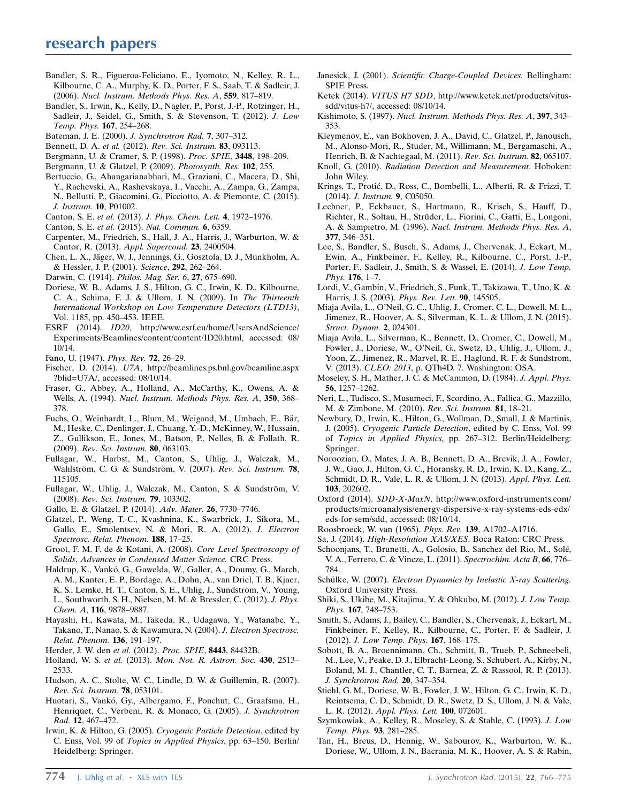- [Bandler, S. R., Figueroa-Feliciano, E., Iyomoto, N., Kelley, R. L.,](http://scripts.iucr.org/cgi-bin/cr.cgi?rm=pdfbb&cnor=hf5280&bbid=BB10) [Kilbourne, C. A., Murphy, K. D., Porter, F. S., Saab, T. & Sadleir, J.](http://scripts.iucr.org/cgi-bin/cr.cgi?rm=pdfbb&cnor=hf5280&bbid=BB10) (2006). [Nucl. Instrum. Methods Phys. Res. A](http://scripts.iucr.org/cgi-bin/cr.cgi?rm=pdfbb&cnor=hf5280&bbid=BB10), 559, 817–819.
- [Bandler, S., Irwin, K., Kelly, D., Nagler, P., Porst, J.-P., Rotzinger, H.,](http://scripts.iucr.org/cgi-bin/cr.cgi?rm=pdfbb&cnor=hf5280&bbid=BB9) [Sadleir, J., Seidel, G., Smith, S. & Stevenson, T. \(2012\).](http://scripts.iucr.org/cgi-bin/cr.cgi?rm=pdfbb&cnor=hf5280&bbid=BB9) J. Low [Temp. Phys.](http://scripts.iucr.org/cgi-bin/cr.cgi?rm=pdfbb&cnor=hf5280&bbid=BB9) 167, 254–268.
- [Bateman, J. E. \(2000\).](http://scripts.iucr.org/cgi-bin/cr.cgi?rm=pdfbb&cnor=hf5280&bbid=BB11) J. Synchrotron Rad. 7, 307–312.
- Bennett, D. A. et al. (2012). [Rev. Sci. Instrum.](http://scripts.iucr.org/cgi-bin/cr.cgi?rm=pdfbb&cnor=hf5280&bbid=BB12) 83, 093113.
- [Bergmann, U. & Cramer, S. P. \(1998\).](http://scripts.iucr.org/cgi-bin/cr.cgi?rm=pdfbb&cnor=hf5280&bbid=BB13) Proc. SPIE, 3448, 198–209.
- [Bergmann, U. & Glatzel, P. \(2009\).](http://scripts.iucr.org/cgi-bin/cr.cgi?rm=pdfbb&cnor=hf5280&bbid=BB14) Photosynth. Res. 102, 255.
- [Bertuccio, G., Ahangarianabhari, M., Graziani, C., Macera, D., Shi,](http://scripts.iucr.org/cgi-bin/cr.cgi?rm=pdfbb&cnor=hf5280&bbid=BB15) [Y., Rachevski, A., Rashevskaya, I., Vacchi, A., Zampa, G., Zampa,](http://scripts.iucr.org/cgi-bin/cr.cgi?rm=pdfbb&cnor=hf5280&bbid=BB15) [N., Bellutti, P., Giacomini, G., Picciotto, A. & Piemonte, C. \(2015\).](http://scripts.iucr.org/cgi-bin/cr.cgi?rm=pdfbb&cnor=hf5280&bbid=BB15) [J. Instrum.](http://scripts.iucr.org/cgi-bin/cr.cgi?rm=pdfbb&cnor=hf5280&bbid=BB15) 10, P01002.
- Canton, S. E. et al. (2013). [J. Phys. Chem. Lett.](http://scripts.iucr.org/cgi-bin/cr.cgi?rm=pdfbb&cnor=hf5280&bbid=BB17) 4, 1972–1976.
- Canton, S. E. et al. (2015). [Nat. Commun.](http://scripts.iucr.org/cgi-bin/cr.cgi?rm=pdfbb&cnor=hf5280&bbid=BB16) 6, 6359.
- [Carpenter, M., Friedrich, S., Hall, J. A., Harris, J., Warburton, W. &](http://scripts.iucr.org/cgi-bin/cr.cgi?rm=pdfbb&cnor=hf5280&bbid=BB18) [Cantor, R. \(2013\).](http://scripts.iucr.org/cgi-bin/cr.cgi?rm=pdfbb&cnor=hf5280&bbid=BB18) Appl. Supercond. 23, 2400504.
- Chen, L. X., Jäger, W. J., Jennings, G., Gosztola, D. J., Munkholm, A. [& Hessler, J. P. \(2001\).](http://scripts.iucr.org/cgi-bin/cr.cgi?rm=pdfbb&cnor=hf5280&bbid=BB19) Science, 292, 262–264.
- Darwin, C. (1914). [Philos. Mag. Ser. 6](http://scripts.iucr.org/cgi-bin/cr.cgi?rm=pdfbb&cnor=hf5280&bbid=BB20), 27, 675–690.
- [Doriese, W. B., Adams, J. S., Hilton, G. C., Irwin, K. D., Kilbourne,](http://scripts.iucr.org/cgi-bin/cr.cgi?rm=pdfbb&cnor=hf5280&bbid=BB21) [C. A., Schima, F. J. & Ullom, J. N. \(2009\). In](http://scripts.iucr.org/cgi-bin/cr.cgi?rm=pdfbb&cnor=hf5280&bbid=BB21) The Thirteenth [International Workshop on Low Temperature Detectors \(LTD13\)](http://scripts.iucr.org/cgi-bin/cr.cgi?rm=pdfbb&cnor=hf5280&bbid=BB21), [Vol. 1185, pp. 450–453. IEEE.](http://scripts.iucr.org/cgi-bin/cr.cgi?rm=pdfbb&cnor=hf5280&bbid=BB21)
- ESRF (2014). ID20[, http://www.esrf.eu/home/UsersAndScience/](http://scripts.iucr.org/cgi-bin/cr.cgi?rm=pdfbb&cnor=hf5280&bbid=BB22) [Experiments/Beamlines/content/content/ID20.html, accessed: 08/](http://scripts.iucr.org/cgi-bin/cr.cgi?rm=pdfbb&cnor=hf5280&bbid=BB22) [10/14.](http://scripts.iucr.org/cgi-bin/cr.cgi?rm=pdfbb&cnor=hf5280&bbid=BB22)
- [Fano, U. \(1947\).](http://scripts.iucr.org/cgi-bin/cr.cgi?rm=pdfbb&cnor=hf5280&bbid=BB23) Phys. Rev. 72, 26–29.
- Fischer, D. (2014). U7A[, http://beamlines.ps.bnl.gov/beamline.aspx](http://scripts.iucr.org/cgi-bin/cr.cgi?rm=pdfbb&cnor=hf5280&bbid=BB24) [?blid=U7A/, accessed: 08/10/14.](http://scripts.iucr.org/cgi-bin/cr.cgi?rm=pdfbb&cnor=hf5280&bbid=BB24)
- [Fraser, G., Abbey, A., Holland, A., McCarthy, K., Owens, A. &](http://scripts.iucr.org/cgi-bin/cr.cgi?rm=pdfbb&cnor=hf5280&bbid=BB25) Wells, A. (1994). [Nucl. Instrum. Methods Phys. Res. A](http://scripts.iucr.org/cgi-bin/cr.cgi?rm=pdfbb&cnor=hf5280&bbid=BB25), 350, 368– [378.](http://scripts.iucr.org/cgi-bin/cr.cgi?rm=pdfbb&cnor=hf5280&bbid=BB25)
- Fuchs, O., Weinhardt, L., Blum, M., Weigand, M., Umbach, E., Bär, [M., Heske, C., Denlinger, J., Chuang, Y.-D., McKinney, W., Hussain,](http://scripts.iucr.org/cgi-bin/cr.cgi?rm=pdfbb&cnor=hf5280&bbid=BB26) [Z., Gullikson, E., Jones, M., Batson, P., Nelles, B. & Follath, R.](http://scripts.iucr.org/cgi-bin/cr.cgi?rm=pdfbb&cnor=hf5280&bbid=BB26) (2009). [Rev. Sci. Instrum.](http://scripts.iucr.org/cgi-bin/cr.cgi?rm=pdfbb&cnor=hf5280&bbid=BB26) 80, 063103.
- [Fullagar, W., Harbst, M., Canton, S., Uhlig, J., Walczak, M.,](http://scripts.iucr.org/cgi-bin/cr.cgi?rm=pdfbb&cnor=hf5280&bbid=BB27) Wahlström, C. G. & Sundström, V. (2007). Rev. Sci. Instrum. 78, [115105.](http://scripts.iucr.org/cgi-bin/cr.cgi?rm=pdfbb&cnor=hf5280&bbid=BB27)
- Fullagar, W., Uhlig, J., Walczak, M., Canton, S. & Sundström, V. (2008). [Rev. Sci. Instrum.](http://scripts.iucr.org/cgi-bin/cr.cgi?rm=pdfbb&cnor=hf5280&bbid=BB28) 79, 103302.
- [Gallo, E. & Glatzel, P. \(2014\).](http://scripts.iucr.org/cgi-bin/cr.cgi?rm=pdfbb&cnor=hf5280&bbid=BB29) Adv. Mater. 26, 7730–7746.
- [Glatzel, P., Weng, T.-C., Kvashnina, K., Swarbrick, J., Sikora, M.,](http://scripts.iucr.org/cgi-bin/cr.cgi?rm=pdfbb&cnor=hf5280&bbid=BB30) [Gallo, E., Smolentsev, N. & Mori, R. A. \(2012\).](http://scripts.iucr.org/cgi-bin/cr.cgi?rm=pdfbb&cnor=hf5280&bbid=BB30) J. Electron [Spectrosc. Relat. Phenom.](http://scripts.iucr.org/cgi-bin/cr.cgi?rm=pdfbb&cnor=hf5280&bbid=BB30) 188, 17-25.
- [Groot, F. M. F. de & Kotani, A. \(2008\).](http://scripts.iucr.org/cgi-bin/cr.cgi?rm=pdfbb&cnor=hf5280&bbid=BB31) Core Level Spectroscopy of Solids, [Advances in Condensed Matter Science.](http://scripts.iucr.org/cgi-bin/cr.cgi?rm=pdfbb&cnor=hf5280&bbid=BB31) CRC Press.
- Haldrup, K., Vankó, G., Gawelda, W., Galler, A., Doumy, G., March, [A. M., Kanter, E. P., Bordage, A., Dohn, A., van Driel, T. B., Kjaer,](http://scripts.iucr.org/cgi-bin/cr.cgi?rm=pdfbb&cnor=hf5280&bbid=BB32) K. S., Lemke, H. T., Canton, S. E., Uhlig, J., Sundström, V., Young, [L., Southworth, S. H., Nielsen, M. M. & Bressler, C. \(2012\).](http://scripts.iucr.org/cgi-bin/cr.cgi?rm=pdfbb&cnor=hf5280&bbid=BB32) J. Phys. Chem. A, 116[, 9878–9887.](http://scripts.iucr.org/cgi-bin/cr.cgi?rm=pdfbb&cnor=hf5280&bbid=BB32)
- [Hayashi, H., Kawata, M., Takeda, R., Udagawa, Y., Watanabe, Y.,](http://scripts.iucr.org/cgi-bin/cr.cgi?rm=pdfbb&cnor=hf5280&bbid=BB33) [Takano, T., Nanao, S. & Kawamura, N. \(2004\).](http://scripts.iucr.org/cgi-bin/cr.cgi?rm=pdfbb&cnor=hf5280&bbid=BB33) J. Electron Spectrosc. [Relat. Phenom.](http://scripts.iucr.org/cgi-bin/cr.cgi?rm=pdfbb&cnor=hf5280&bbid=BB33) 136, 191–197.
- [Herder, J. W. den](http://scripts.iucr.org/cgi-bin/cr.cgi?rm=pdfbb&cnor=hf5280&bbid=BB34) et al. (2012). Proc. SPIE, 8443, 84432B.
- Holland, W. S. et al. (2013). [Mon. Not. R. Astron. Soc.](http://scripts.iucr.org/cgi-bin/cr.cgi?rm=pdfbb&cnor=hf5280&bbid=BB35) 430, 2513– [2533.](http://scripts.iucr.org/cgi-bin/cr.cgi?rm=pdfbb&cnor=hf5280&bbid=BB35)
- [Hudson, A. C., Stolte, W. C., Lindle, D. W. & Guillemin, R. \(2007\).](http://scripts.iucr.org/cgi-bin/cr.cgi?rm=pdfbb&cnor=hf5280&bbid=BB36) [Rev. Sci. Instrum.](http://scripts.iucr.org/cgi-bin/cr.cgi?rm=pdfbb&cnor=hf5280&bbid=BB36) 78, 053101.
- Huotari, S., Vankó, Gy., Albergamo, F., Ponchut, C., Graafsma, H., [Henriquet, C., Verbeni, R. & Monaco, G. \(2005\).](http://scripts.iucr.org/cgi-bin/cr.cgi?rm=pdfbb&cnor=hf5280&bbid=BB37) J. Synchrotron Rad. 12[, 467–472.](http://scripts.iucr.org/cgi-bin/cr.cgi?rm=pdfbb&cnor=hf5280&bbid=BB37)
- [Irwin, K. & Hilton, G. \(2005\).](http://scripts.iucr.org/cgi-bin/cr.cgi?rm=pdfbb&cnor=hf5280&bbid=BB38) Cryogenic Particle Detection, edited by C. Enss, Vol. 99 of [Topics in Applied Physics](http://scripts.iucr.org/cgi-bin/cr.cgi?rm=pdfbb&cnor=hf5280&bbid=BB38), pp. 63–150. Berlin/ [Heidelberg: Springer.](http://scripts.iucr.org/cgi-bin/cr.cgi?rm=pdfbb&cnor=hf5280&bbid=BB38)
- Janesick, J. (2001). [Scientific Charge-Coupled Devices.](http://scripts.iucr.org/cgi-bin/cr.cgi?rm=pdfbb&cnor=hf5280&bbid=BB39) Bellingham: [SPIE Press.](http://scripts.iucr.org/cgi-bin/cr.cgi?rm=pdfbb&cnor=hf5280&bbid=BB39)
- Ketek (2014). VITUS H7 SDD[, http://www.ketek.net/products/vitus](http://scripts.iucr.org/cgi-bin/cr.cgi?rm=pdfbb&cnor=hf5280&bbid=BB40)[sdd/vitus-h7/, accessed: 08/10/14.](http://scripts.iucr.org/cgi-bin/cr.cgi?rm=pdfbb&cnor=hf5280&bbid=BB40)
- Kishimoto, S. (1997). [Nucl. Instrum. Methods Phys. Res. A](http://scripts.iucr.org/cgi-bin/cr.cgi?rm=pdfbb&cnor=hf5280&bbid=BB41), 397, 343– [353.](http://scripts.iucr.org/cgi-bin/cr.cgi?rm=pdfbb&cnor=hf5280&bbid=BB41)
- [Kleymenov, E., van Bokhoven, J. A., David, C., Glatzel, P., Janousch,](http://scripts.iucr.org/cgi-bin/cr.cgi?rm=pdfbb&cnor=hf5280&bbid=BB42) [M., Alonso-Mori, R., Studer, M., Willimann, M., Bergamaschi, A.,](http://scripts.iucr.org/cgi-bin/cr.cgi?rm=pdfbb&cnor=hf5280&bbid=BB42) [Henrich, B. & Nachtegaal, M. \(2011\).](http://scripts.iucr.org/cgi-bin/cr.cgi?rm=pdfbb&cnor=hf5280&bbid=BB42) Rev. Sci. Instrum. 82, 065107.
- Knoll, G. (2010). [Radiation Detection and Measurement.](http://scripts.iucr.org/cgi-bin/cr.cgi?rm=pdfbb&cnor=hf5280&bbid=BB43) Hoboken: [John Wiley.](http://scripts.iucr.org/cgi-bin/cr.cgi?rm=pdfbb&cnor=hf5280&bbid=BB43)
- [Krings, T., Protic´, D., Ross, C., Bombelli, L., Alberti, R. & Frizzi, T.](http://scripts.iucr.org/cgi-bin/cr.cgi?rm=pdfbb&cnor=hf5280&bbid=BB44) (2014). [J. Instrum.](http://scripts.iucr.org/cgi-bin/cr.cgi?rm=pdfbb&cnor=hf5280&bbid=BB44) 9, C05050.
- [Lechner, P., Eckbauer, S., Hartmann, R., Krisch, S., Hauff, D.,](http://scripts.iucr.org/cgi-bin/cr.cgi?rm=pdfbb&cnor=hf5280&bbid=BB45) Richter, R., Soltau, H., Strüder, L., Fiorini, C., Gatti, E., Longoni, A. & Sampietro, M. (1996). [Nucl. Instrum. Methods Phys. Res. A](http://scripts.iucr.org/cgi-bin/cr.cgi?rm=pdfbb&cnor=hf5280&bbid=BB45), 377[, 346–351.](http://scripts.iucr.org/cgi-bin/cr.cgi?rm=pdfbb&cnor=hf5280&bbid=BB45)
- [Lee, S., Bandler, S., Busch, S., Adams, J., Chervenak, J., Eckart, M.,](http://scripts.iucr.org/cgi-bin/cr.cgi?rm=pdfbb&cnor=hf5280&bbid=BB46) [Ewin, A., Finkbeiner, F., Kelley, R., Kilbourne, C., Porst, J.-P.,](http://scripts.iucr.org/cgi-bin/cr.cgi?rm=pdfbb&cnor=hf5280&bbid=BB46) [Porter, F., Sadleir, J., Smith, S. & Wassel, E. \(2014\).](http://scripts.iucr.org/cgi-bin/cr.cgi?rm=pdfbb&cnor=hf5280&bbid=BB46) J. Low Temp. [Phys.](http://scripts.iucr.org/cgi-bin/cr.cgi?rm=pdfbb&cnor=hf5280&bbid=BB46) 176, 1–7.
- [Lordi, V., Gambin, V., Friedrich, S., Funk, T., Takizawa, T., Uno, K. &](http://scripts.iucr.org/cgi-bin/cr.cgi?rm=pdfbb&cnor=hf5280&bbid=BB47) [Harris, J. S. \(2003\).](http://scripts.iucr.org/cgi-bin/cr.cgi?rm=pdfbb&cnor=hf5280&bbid=BB47) Phys. Rev. Lett. 90, 145505.
- [Miaja Avila, L., O'Neil, G. C., Uhlig, J., Cromer, C. L., Dowell, M. L.,](http://scripts.iucr.org/cgi-bin/cr.cgi?rm=pdfbb&cnor=hf5280&bbid=BB48) [Jimenez, R., Hoover, A. S., Silverman, K. L. & Ullom, J. N. \(2015\).](http://scripts.iucr.org/cgi-bin/cr.cgi?rm=pdfbb&cnor=hf5280&bbid=BB48) [Struct. Dynam.](http://scripts.iucr.org/cgi-bin/cr.cgi?rm=pdfbb&cnor=hf5280&bbid=BB48) 2, 024301.
- [Miaja Avila, L., Silverman, K., Bennett, D., Cromer, C., Dowell, M.,](http://scripts.iucr.org/cgi-bin/cr.cgi?rm=pdfbb&cnor=hf5280&bbid=BB49) [Fowler, J., Doriese, W., O'Neil, G., Swetz, D., Uhlig, J., Ullom, J.,](http://scripts.iucr.org/cgi-bin/cr.cgi?rm=pdfbb&cnor=hf5280&bbid=BB49) [Yoon, Z., Jimenez, R., Marvel, R. E., Haglund, R. F. & Sundstrom,](http://scripts.iucr.org/cgi-bin/cr.cgi?rm=pdfbb&cnor=hf5280&bbid=BB49) V. (2013). CLEO: 2013[, p. QTh4D. 7. Washington: OSA.](http://scripts.iucr.org/cgi-bin/cr.cgi?rm=pdfbb&cnor=hf5280&bbid=BB49)
- [Moseley, S. H., Mather, J. C. & McCammon, D. \(1984\).](http://scripts.iucr.org/cgi-bin/cr.cgi?rm=pdfbb&cnor=hf5280&bbid=BB50) J. Appl. Phys. 56[, 1257–1262.](http://scripts.iucr.org/cgi-bin/cr.cgi?rm=pdfbb&cnor=hf5280&bbid=BB50)
- [Neri, L., Tudisco, S., Musumeci, F., Scordino, A., Fallica, G., Mazzillo,](http://scripts.iucr.org/cgi-bin/cr.cgi?rm=pdfbb&cnor=hf5280&bbid=BB51) [M. & Zimbone, M. \(2010\).](http://scripts.iucr.org/cgi-bin/cr.cgi?rm=pdfbb&cnor=hf5280&bbid=BB51) Rev. Sci. Instrum. 81, 18–21.
- [Newbury, D., Irwin, K., Hilton, G., Wollman, D., Small, J. & Martinis,](http://scripts.iucr.org/cgi-bin/cr.cgi?rm=pdfbb&cnor=hf5280&bbid=BB52) J. (2005). [Cryogenic Particle Detection](http://scripts.iucr.org/cgi-bin/cr.cgi?rm=pdfbb&cnor=hf5280&bbid=BB52), edited by C. Enss, Vol. 99 of Topics in Applied Physics[, pp. 267–312. Berlin/Heidelberg:](http://scripts.iucr.org/cgi-bin/cr.cgi?rm=pdfbb&cnor=hf5280&bbid=BB52) [Springer.](http://scripts.iucr.org/cgi-bin/cr.cgi?rm=pdfbb&cnor=hf5280&bbid=BB52)
- [Noroozian, O., Mates, J. A. B., Bennett, D. A., Brevik, J. A., Fowler,](http://scripts.iucr.org/cgi-bin/cr.cgi?rm=pdfbb&cnor=hf5280&bbid=BB53) [J. W., Gao, J., Hilton, G. C., Horansky, R. D., Irwin, K. D., Kang, Z.,](http://scripts.iucr.org/cgi-bin/cr.cgi?rm=pdfbb&cnor=hf5280&bbid=BB53) [Schmidt, D. R., Vale, L. R. & Ullom, J. N. \(2013\).](http://scripts.iucr.org/cgi-bin/cr.cgi?rm=pdfbb&cnor=hf5280&bbid=BB53) Appl. Phys. Lett. 103[, 202602.](http://scripts.iucr.org/cgi-bin/cr.cgi?rm=pdfbb&cnor=hf5280&bbid=BB53)
- Oxford (2014). SDD-X-MaxN[, http://www.oxford-instruments.com/](http://scripts.iucr.org/cgi-bin/cr.cgi?rm=pdfbb&cnor=hf5280&bbid=BB54) [products/microanalysis/energy-dispersive-x-ray-systems-eds-edx/](http://scripts.iucr.org/cgi-bin/cr.cgi?rm=pdfbb&cnor=hf5280&bbid=BB54) [eds-for-sem/sdd, accessed: 08/10/14.](http://scripts.iucr.org/cgi-bin/cr.cgi?rm=pdfbb&cnor=hf5280&bbid=BB54)
- [Roosbroeck, W. van \(1965\).](http://scripts.iucr.org/cgi-bin/cr.cgi?rm=pdfbb&cnor=hf5280&bbid=BB55) Phys. Rev. 139, A1702–A1716.
- Sa, J. (2014). [High-Resolution XAS/XES](http://scripts.iucr.org/cgi-bin/cr.cgi?rm=pdfbb&cnor=hf5280&bbid=BB56). Boca Raton: CRC Press.
- Schoonjans, T., Brunetti, A., Golosio, B., Sanchez del Rio, M., Solé, [V. A., Ferrero, C. & Vincze, L. \(2011\).](http://scripts.iucr.org/cgi-bin/cr.cgi?rm=pdfbb&cnor=hf5280&bbid=BB57) Spectrochim. Acta B, 66, 776– [784.](http://scripts.iucr.org/cgi-bin/cr.cgi?rm=pdfbb&cnor=hf5280&bbid=BB57)
- Schülke, W. (2007). [Electron Dynamics by Inelastic X-ray Scattering.](http://scripts.iucr.org/cgi-bin/cr.cgi?rm=pdfbb&cnor=hf5280&bbid=BB58) [Oxford University Press.](http://scripts.iucr.org/cgi-bin/cr.cgi?rm=pdfbb&cnor=hf5280&bbid=BB58)
- [Shiki, S., Ukibe, M., Kitajima, Y. & Ohkubo, M. \(2012\).](http://scripts.iucr.org/cgi-bin/cr.cgi?rm=pdfbb&cnor=hf5280&bbid=BB59) J. Low Temp. Phys. 167[, 748–753.](http://scripts.iucr.org/cgi-bin/cr.cgi?rm=pdfbb&cnor=hf5280&bbid=BB59)
- [Smith, S., Adams, J., Bailey, C., Bandler, S., Chervenak, J., Eckart, M.,](http://scripts.iucr.org/cgi-bin/cr.cgi?rm=pdfbb&cnor=hf5280&bbid=BB60) [Finkbeiner, F., Kelley, R., Kilbourne, C., Porter, F. & Sadleir, J.](http://scripts.iucr.org/cgi-bin/cr.cgi?rm=pdfbb&cnor=hf5280&bbid=BB60) (2012). [J. Low Temp. Phys.](http://scripts.iucr.org/cgi-bin/cr.cgi?rm=pdfbb&cnor=hf5280&bbid=BB60) 167, 168–175.
- [Sobott, B. A., Broennimann, Ch., Schmitt, B., Trueb, P., Schneebeli,](http://scripts.iucr.org/cgi-bin/cr.cgi?rm=pdfbb&cnor=hf5280&bbid=BB61) [M., Lee, V., Peake, D. J., Elbracht-Leong, S., Schubert, A., Kirby, N.,](http://scripts.iucr.org/cgi-bin/cr.cgi?rm=pdfbb&cnor=hf5280&bbid=BB61) [Boland, M. J., Chantler, C. T., Barnea, Z. & Rassool, R. P. \(2013\).](http://scripts.iucr.org/cgi-bin/cr.cgi?rm=pdfbb&cnor=hf5280&bbid=BB61) [J. Synchrotron Rad.](http://scripts.iucr.org/cgi-bin/cr.cgi?rm=pdfbb&cnor=hf5280&bbid=BB61) 20, 347–354.
- [Stiehl, G. M., Doriese, W. B., Fowler, J. W., Hilton, G. C., Irwin, K. D.,](http://scripts.iucr.org/cgi-bin/cr.cgi?rm=pdfbb&cnor=hf5280&bbid=BB62) [Reintsema, C. D., Schmidt, D. R., Swetz, D. S., Ullom, J. N. & Vale,](http://scripts.iucr.org/cgi-bin/cr.cgi?rm=pdfbb&cnor=hf5280&bbid=BB62) L. R. (2012). [Appl. Phys. Lett.](http://scripts.iucr.org/cgi-bin/cr.cgi?rm=pdfbb&cnor=hf5280&bbid=BB62) 100, 072601.
- [Szymkowiak, A., Kelley, R., Moseley, S. & Stahle, C. \(1993\).](http://scripts.iucr.org/cgi-bin/cr.cgi?rm=pdfbb&cnor=hf5280&bbid=BB63) J. Low [Temp. Phys.](http://scripts.iucr.org/cgi-bin/cr.cgi?rm=pdfbb&cnor=hf5280&bbid=BB63) 93, 281–285.
- [Tan, H., Breus, D., Hennig, W., Sabourov, K., Warburton, W. K.,](http://scripts.iucr.org/cgi-bin/cr.cgi?rm=pdfbb&cnor=hf5280&bbid=BB64) [Doriese, W., Ullom, J. N., Bacrania, M. K., Hoover, A. S. & Rabin,](http://scripts.iucr.org/cgi-bin/cr.cgi?rm=pdfbb&cnor=hf5280&bbid=BB64)